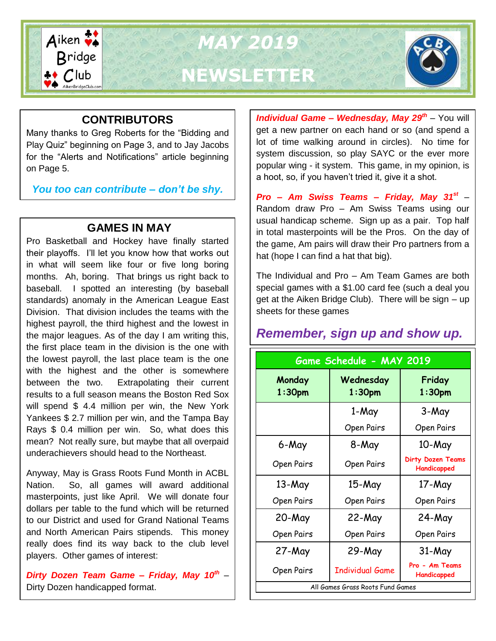

*MAY 2019* **NEWSLETTER**



### **CONTRIBUTORS**

Many thanks to Greg Roberts for the "Bidding and Play Quiz" beginning on Page 3, and to Jay Jacobs for the "Alerts and Notifications" article beginning on Page 5.

*You too can contribute – don't be shy.*

### **GAMES IN MAY**

Pro Basketball and Hockey have finally started their playoffs. I'll let you know how that works out in what will seem like four or five long boring months. Ah, boring. That brings us right back to baseball. I spotted an interesting (by baseball standards) anomaly in the American League East Division. That division includes the teams with the highest payroll, the third highest and the lowest in the major leagues. As of the day I am writing this, the first place team in the division is the one with the lowest payroll, the last place team is the one with the highest and the other is somewhere between the two. Extrapolating their current results to a full season means the Boston Red Sox will spend \$ 4.4 million per win, the New York Yankees \$ 2.7 million per win, and the Tampa Bay Rays \$ 0.4 million per win. So, what does this mean? Not really sure, but maybe that all overpaid underachievers should head to the Northeast.

Anyway, May is Grass Roots Fund Month in ACBL Nation. So, all games will award additional masterpoints, just like April. We will donate four dollars per table to the fund which will be returned to our District and used for Grand National Teams and North American Pairs stipends. This money really does find its way back to the club level players. Other games of interest:

*Dirty Dozen Team Game – Friday, May 10th* – Dirty Dozen handicapped format.

*Individual Game – Wednesday, May 29th* – You will get a new partner on each hand or so (and spend a lot of time walking around in circles). No time for system discussion, so play SAYC or the ever more popular wing - it system. This game, in my opinion, is a hoot, so, if you haven't tried it, give it a shot.

*Pro – Am Swiss Teams – Friday, May 31st* – Random draw Pro – Am Swiss Teams using our usual handicap scheme. Sign up as a pair. Top half in total masterpoints will be the Pros. On the day of the game, Am pairs will draw their Pro partners from a hat (hope I can find a hat that big).

The Individual and Pro – Am Team Games are both special games with a \$1.00 card fee (such a deal you get at the Aiken Bridge Club). There will be sign – up sheets for these games

## *Remember, sign up and show up.*

| Game Schedule - MAY 2019         |                        |                                  |  |  |  |
|----------------------------------|------------------------|----------------------------------|--|--|--|
| Monday<br>1:30 <sub>pm</sub>     | Wednesday<br>$1:30$ pm | Friday<br>1:30 <sub>pm</sub>     |  |  |  |
|                                  | 1-May                  | 3-May                            |  |  |  |
|                                  | Open Pairs             | Open Pairs                       |  |  |  |
| 6-May                            | 8-May                  | 10-May                           |  |  |  |
| Open Pairs                       | Open Pairs             | Dirty Dozen Teams<br>Handicapped |  |  |  |
| 13-May                           | 15-May                 | 17-May                           |  |  |  |
| Open Pairs                       | Open Pairs             | Open Pairs                       |  |  |  |
| 20-May                           | 22-May                 | $24$ -May                        |  |  |  |
| Open Pairs                       | Open Pairs             | Open Pairs                       |  |  |  |
| $27$ -May                        | 29-May                 | 31-May                           |  |  |  |
| Open Pairs                       | <b>Individual Game</b> | Pro - Am Teams<br>Handicapped    |  |  |  |
| All Games Grass Roots Fund Games |                        |                                  |  |  |  |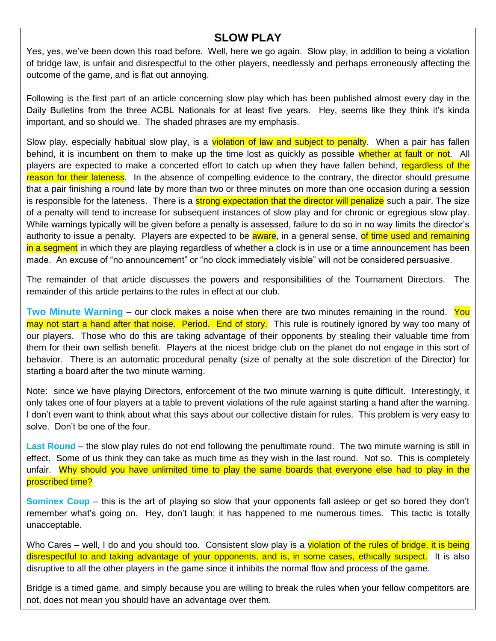#### **SLOW PLAY**

Yes, yes, we've been down this road before. Well, here we go again. Slow play, in addition to being a violation of bridge law, is unfair and disrespectful to the other players, needlessly and perhaps erroneously affecting the outcome of the game, and is flat out annoying.

Following is the first part of an article concerning slow play which has been published almost every day in the Daily Bulletins from the three ACBL Nationals for at least five years. Hey, seems like they think it's kinda important, and so should we. The shaded phrases are my emphasis.

Slow play, especially habitual slow play, is a violation of law and subject to penalty. When a pair has fallen behind, it is incumbent on them to make up the time lost as quickly as possible whether at fault or not. All players are expected to make a concerted effort to catch up when they have fallen behind, regardless of the reason for their lateness. In the absence of compelling evidence to the contrary, the director should presume that a pair finishing a round late by more than two or three minutes on more than one occasion during a session is responsible for the lateness. There is a strong expectation that the director will penalize such a pair. The size of a penalty will tend to increase for subsequent instances of slow play and for chronic or egregious slow play. While warnings typically will be given before a penalty is assessed, failure to do so in no way limits the director's authority to issue a penalty. Players are expected to be **aware**, in a general sense, of time used and remaining in a segment in which they are playing regardless of whether a clock is in use or a time announcement has been made. An excuse of "no announcement" or "no clock immediately visible" will not be considered persuasive.

The remainder of that article discusses the powers and responsibilities of the Tournament Directors. The remainder of this article pertains to the rules in effect at our club.

**Two Minute Warning** – our clock makes a noise when there are two minutes remaining in the round. You may not start a hand after that noise. Period. End of story. This rule is routinely ignored by way too many of our players. Those who do this are taking advantage of their opponents by stealing their valuable time from them for their own selfish benefit. Players at the nicest bridge club on the planet do not engage in this sort of behavior. There is an automatic procedural penalty (size of penalty at the sole discretion of the Director) for starting a board after the two minute warning.

Note: since we have playing Directors, enforcement of the two minute warning is quite difficult. Interestingly, it only takes one of four players at a table to prevent violations of the rule against starting a hand after the warning. I don't even want to think about what this says about our collective distain for rules. This problem is very easy to solve. Don't be one of the four.

**Last Round** – the slow play rules do not end following the penultimate round. The two minute warning is still in effect. Some of us think they can take as much time as they wish in the last round. Not so. This is completely unfair. Why should you have unlimited time to play the same boards that everyone else had to play in the proscribed time?

**Sominex Coup** – this is the art of playing so slow that your opponents fall asleep or get so bored they don't remember what's going on. Hey, don't laugh; it has happened to me numerous times. This tactic is totally unacceptable.

Who Cares – well, I do and you should too. Consistent slow play is a violation of the rules of bridge, it is being disrespectful to and taking advantage of your opponents, and is, in some cases, ethically suspect. It is also disruptive to all the other players in the game since it inhibits the normal flow and process of the game.

Bridge is a timed game, and simply because you are willing to break the rules when your fellow competitors are not, does not mean you should have an advantage over them.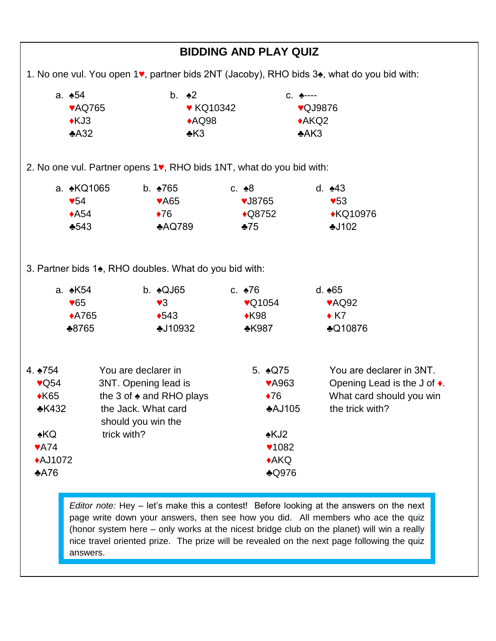| <b>BIDDING AND PLAY QUIZ</b>                                                                                                        |                    |                                                                                                                                |                                                                                                                                          |                                                                                                                                                                                   |  |  |  |
|-------------------------------------------------------------------------------------------------------------------------------------|--------------------|--------------------------------------------------------------------------------------------------------------------------------|------------------------------------------------------------------------------------------------------------------------------------------|-----------------------------------------------------------------------------------------------------------------------------------------------------------------------------------|--|--|--|
| 1. No one vul. You open 1 <sup>v</sup> , partner bids 2NT (Jacoby), RHO bids 3 <sup>*</sup> , what do you bid with:                 |                    |                                                                                                                                |                                                                                                                                          |                                                                                                                                                                                   |  |  |  |
| a. <b>454</b><br>$\triangle KJ3$<br>A32                                                                                             | <b>VAQ765</b>      | b. $\triangle$ 2<br><b>V</b> KQ10342<br>AQQ98<br>$\triangle$ K3                                                                |                                                                                                                                          | C. ♠----<br>♥QJ9876<br>$*AKQ2$<br>A K3                                                                                                                                            |  |  |  |
| 2. No one vul. Partner opens 1, RHO bids 1NT, what do you bid with:                                                                 |                    |                                                                                                                                |                                                                                                                                          |                                                                                                                                                                                   |  |  |  |
| $\sqrt{54}$<br>$\triangle$ A54<br>$*543$                                                                                            | a. <b>∗</b> KQ1065 | b. $•765$<br><b>VA65</b><br>$\blacklozenge$ 76<br>AQQ789                                                                       | c. $\triangle 8$<br>$\blacktriangledown$ J8765<br>$\bigstar$ Q8752<br>$*75$                                                              | d. $*43$<br>$\blacktriangledown$ 53<br>◆KQ10976<br>$-102$                                                                                                                         |  |  |  |
| a. <b>∗</b> K54<br>$\sqrt{65}$<br>♣8765                                                                                             | <b>◆A765</b>       | 3. Partner bids 1 <sup>*</sup> , RHO doubles. What do you bid with:<br>b. $\triangle QJ65$<br>$\sqrt{3}$<br>•543<br>$-110932$  | $c.$ $\spadesuit$ 76<br>$\sqrt{Q}$ 1054<br>$\triangle$ K98<br>$\triangle$ K987                                                           | d. $*65$<br>♥AQ92<br>$\triangle$ K7<br><b>AQ10876</b>                                                                                                                             |  |  |  |
| 4. $\ast$ 754<br>$\sqrt{Q54}$<br>$\triangle$ K65<br><b>*K432</b><br><b>∗KQ</b><br>$\blacktriangledown$ A74<br><b>◆AJ1072</b><br>A76 | trick with?        | You are declarer in<br>3NT. Opening lead is<br>the 3 of $\triangle$ and RHO plays<br>the Jack. What card<br>should you win the | 5. $\triangle Q75$<br><b>VA963</b><br>$\blacklozenge$ 76<br><b>AJ105</b><br>$\triangle$ KJ2<br>$\times 1082$<br>A KQ<br>$\triangle$ Q976 | You are declarer in 3NT.<br>Opening Lead is the J of $\triangle$ .<br>What card should you win<br>the trick with?                                                                 |  |  |  |
|                                                                                                                                     |                    |                                                                                                                                |                                                                                                                                          | <i>Editor note:</i> Hey $-$ let's make this a contest! Before looking at the answers on the next<br>is write down your opening then see bow you did. All members who see the quiz |  |  |  |

**Falling Down Bridge** ince travel oriented prize. The prize will be revealed on the next page following the quiz page write down your answers, then see how you did. All members who ace the quiz (honor system here – only works at the nicest bridge club on the planet) will win a really answers.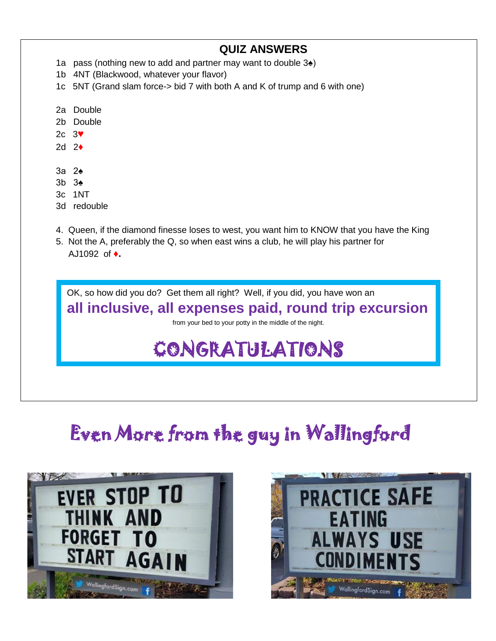# **QUIZ ANSWERS**

- 1a pass (nothing new to add and partner may want to double 3♠)
- 1b 4NT (Blackwood, whatever your flavor)
- 1c 5NT (Grand slam force-> bid 7 with both A and K of trump and 6 with one)
- 2a Double
- 2b Double
- 2c 3**♥**
- 2d 2**♦**
- 3a 2♠
- 3b 3♠
- 3c 1NT
- 3d redouble
- 4. Queen, if the diamond finesse loses to west, you want him to KNOW that you have the King
- 5. Not the A, preferably the Q, so when east wins a club, he will play his partner for AJ1092 of **♦.**

OK, so how did you do? Get them all right? Well, if you did, you have won an

## **all inclusive, all expenses paid, round trip excursion**

from your bed to your potty in the middle of the night.

# CONGRATULATIONS

# Even More from the guy in Wallingford



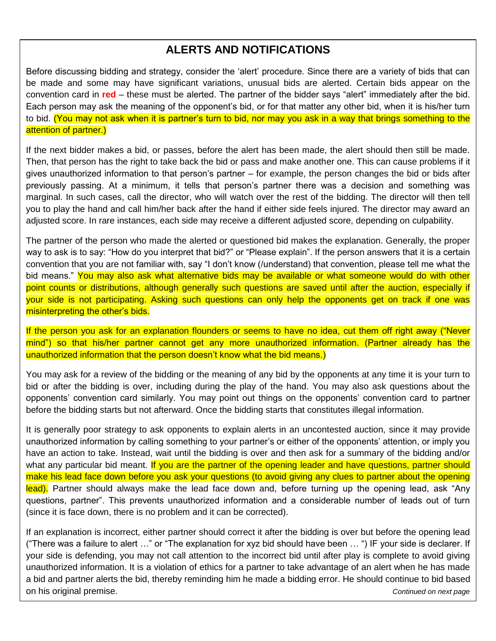### **ALERTS AND NOTIFICATIONS**

Before discussing bidding and strategy, consider the 'alert' procedure. Since there are a variety of bids that can be made and some may have significant variations, unusual bids are alerted. Certain bids appear on the convention card in **red** – these must be alerted. The partner of the bidder says "alert" immediately after the bid. Each person may ask the meaning of the opponent's bid, or for that matter any other bid, when it is his/her turn to bid. (You may not ask when it is partner's turn to bid, nor may you ask in a way that brings something to the attention of partner.)

If the next bidder makes a bid, or passes, before the alert has been made, the alert should then still be made. Then, that person has the right to take back the bid or pass and make another one. This can cause problems if it gives unauthorized information to that person's partner – for example, the person changes the bid or bids after previously passing. At a minimum, it tells that person's partner there was a decision and something was marginal. In such cases, call the director, who will watch over the rest of the bidding. The director will then tell you to play the hand and call him/her back after the hand if either side feels injured. The director may award an adjusted score. In rare instances, each side may receive a different adjusted score, depending on culpability.

The partner of the person who made the alerted or questioned bid makes the explanation. Generally, the proper way to ask is to say: "How do you interpret that bid?" or "Please explain". If the person answers that it is a certain convention that you are not familiar with, say "I don't know (/understand) that convention, please tell me what the bid means." You may also ask what alternative bids may be available or what someone would do with other point counts or distributions, although generally such questions are saved until after the auction, especially if your side is not participating. Asking such questions can only help the opponents get on track if one was misinterpreting the other's bids.

If the person you ask for an explanation flounders or seems to have no idea, cut them off right away ("Never mind") so that his/her partner cannot get any more unauthorized information. (Partner already has the unauthorized information that the person doesn't know what the bid means.)

You may ask for a review of the bidding or the meaning of any bid by the opponents at any time it is your turn to bid or after the bidding is over, including during the play of the hand. You may also ask questions about the opponents' convention card similarly. You may point out things on the opponents' convention card to partner before the bidding starts but not afterward. Once the bidding starts that constitutes illegal information.

It is generally poor strategy to ask opponents to explain alerts in an uncontested auction, since it may provide unauthorized information by calling something to your partner's or either of the opponents' attention, or imply you have an action to take. Instead, wait until the bidding is over and then ask for a summary of the bidding and/or what any particular bid meant. If you are the partner of the opening leader and have questions, partner should make his lead face down before you ask your questions (to avoid giving any clues to partner about the opening lead). Partner should always make the lead face down and, before turning up the opening lead, ask "Any questions, partner". This prevents unauthorized information and a considerable number of leads out of turn (since it is face down, there is no problem and it can be corrected).

If an explanation is incorrect, either partner should correct it after the bidding is over but before the opening lead ("There was a failure to alert …" or "The explanation for xyz bid should have been … ") IF your side is declarer. If your side is defending, you may not call attention to the incorrect bid until after play is complete to avoid giving unauthorized information. It is a violation of ethics for a partner to take advantage of an alert when he has made a bid and partner alerts the bid, thereby reminding him he made a bidding error. He should continue to bid based on his original premise. *Continued on next page*